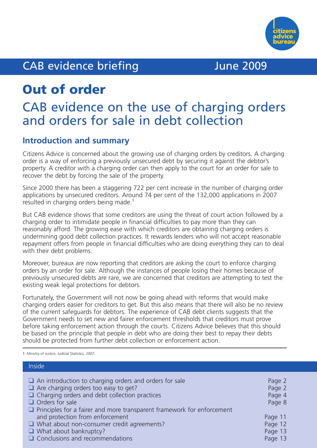

# CAB evidence briefing and the Mune 2009

# **Out of order**

# CAB evidence on the use of charging orders and orders for sale in debt collection

## **Introduction and summary**

Citizens Advice is concerned about the growing use of charging orders by creditors. A charging order is a way of enforcing a previously unsecured debt by securing it against the debtor's property. A creditor with a charging order can then apply to the court for an order for sale to recover the debt by forcing the sale of the property.

Since 2000 there has been a staggering 722 per cent increase in the number of charging order applications by unsecured creditors. Around 74 per cent of the 132,000 applications in 2007 resulted in charging orders being made.<sup>1</sup>

But CAB evidence shows that some creditors are using the threat of court action followed by a charging order to intimidate people in financial difficulties to pay more than they can reasonably afford. The growing ease with which creditors are obtaining charging orders is undermining good debt collection practices. It rewards lenders who will not accept reasonable repayment offers from people in financial difficulties who are doing everything they can to deal with their debt problems.

Moreover, bureaux are now reporting that creditors are asking the court to enforce charging orders by an order for sale. Although the instances of people losing their homes because of previously unsecured debts are rare, we are concerned that creditors are attempting to test the existing weak legal protections for debtors.

Fortunately, the Government will not now be going ahead with reforms that would make charging orders easier for creditors to get. But this also means that there will also be no review of the current safeguards for debtors. The experience of CAB debt clients suggests that the Government needs to set new and fairer enforcement thresholds that creditors must prove before taking enforcement action through the courts. Citizens Advice believes that this should be based on the principle that people in debt who are doing their best to repay their debts should be protected from further debt collection or enforcement action.

1 Ministry of Justice, *Judicial Statistics, 2007.*

| Inside                                                                                                                                                                                                                                                                          |                                      |
|---------------------------------------------------------------------------------------------------------------------------------------------------------------------------------------------------------------------------------------------------------------------------------|--------------------------------------|
| $\Box$ An introduction to charging orders and orders for sale<br>$\Box$ Are charging orders too easy to get?<br>$\Box$ Charging orders and debt collection practices<br>$\Box$ Orders for sale<br>$\Box$ Principles for a fairer and more transparent framework for enforcement | Page 2<br>Page 2<br>Page 4<br>Page 8 |
| and protection from enforcement                                                                                                                                                                                                                                                 | Page 11                              |
| $\Box$ What about non-consumer credit agreements?                                                                                                                                                                                                                               | Page 12                              |
| $\Box$ What about bankruptcy?                                                                                                                                                                                                                                                   | Page 13                              |
| $\Box$ Conclusions and recommendations                                                                                                                                                                                                                                          | Page 13                              |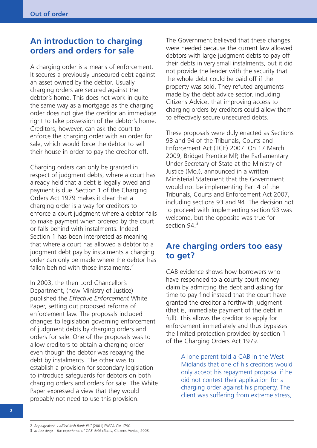## **An introduction to charging orders and orders for sale**

A charging order is a means of enforcement. It secures a previously unsecured debt against an asset owned by the debtor. Usually charging orders are secured against the debtor's home. This does not work in quite the same way as a mortgage as the charging order does not give the creditor an immediate right to take possession of the debtor's home. Creditors, however, can ask the court to enforce the charging order with an order for sale, which would force the debtor to sell their house in order to pay the creditor off.

Charging orders can only be granted in respect of judgment debts, where a court has already held that a debt is legally owed and payment is due. Section 1 of the Charging Orders Act 1979 makes it clear that a charging order is a way for creditors to enforce a court judgment where a debtor fails to make payment when ordered by the court or falls behind with instalments. Indeed Section 1 has been interpreted as meaning that where a court has allowed a debtor to a judgment debt pay by instalments a charging order can only be made where the debtor has fallen behind with those instalments.<sup>2</sup>

In 2003, the then Lord Chancellor's Department, (now Ministry of Justice) published the *Effective Enforcement* White Paper, setting out proposed reforms of enforcement law. The proposals included changes to legislation governing enforcement of judgment debts by charging orders and orders for sale. One of the proposals was to allow creditors to obtain a charging order even though the debtor was repaying the debt by instalments. The other was to establish a provision for secondary legislation to introduce safeguards for debtors on both charging orders and orders for sale. The White Paper expressed a view that they would probably not need to use this provision.

The Government believed that these changes were needed because the current law allowed debtors with large judgment debts to pay off their debts in very small instalments, but it did not provide the lender with the security that the whole debt could be paid off if the property was sold. They refuted arguments made by the debt advice sector, including Citizens Advice, that improving access to charging orders by creditors could allow them to effectively secure unsecured debts.

These proposals were duly enacted as Sections 93 and 94 of the Tribunals, Courts and Enforcement Act (TCE) 2007. On 17 March 2009, Bridget Prentice MP, the Parliamentary Under-Secretary of State at the Ministry of Justice (MoJ), announced in a written Ministerial Statement that the Government would not be implementing Part 4 of the Tribunals, Courts and Enforcement Act 2007, including sections 93 and 94. The decision not to proceed with implementing section 93 was welcome, but the opposite was true for section 94.<sup>3</sup>

## **Are charging orders too easy to get?**

CAB evidence shows how borrowers who have responded to a county court money claim by admitting the debt and asking for time to pay find instead that the court have granted the creditor a forthwith judgment (that is, immediate payment of the debt in full). This allows the creditor to apply for enforcement immediately and thus bypasses the limited protection provided by section 1 of the Charging Orders Act 1979.

> A lone parent told a CAB in the West Midlands that one of his creditors would only accept his repayment proposal if he did not contest their application for a charging order against his property. The client was suffering from extreme stress,

<sup>2</sup> *Ropaigealach v Allied Irish Bank PLC* [2001] EWCA Civ 1790.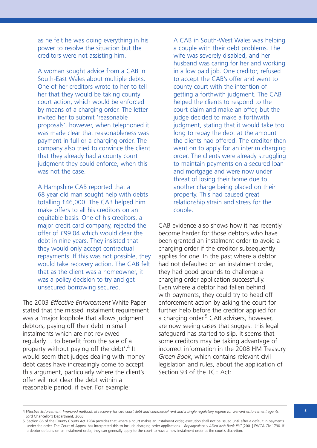as he felt he was doing everything in his power to resolve the situation but the creditors were not assisting him.

A woman sought advice from a CAB in South-East Wales about multiple debts. One of her creditors wrote to her to tell her that they would be taking county court action, which would be enforced by means of a charging order. The letter invited her to submit 'reasonable proposals', however, when telephoned it was made clear that reasonableness was payment in full or a charging order. The company also tried to convince the client that they already had a county court judgment they could enforce, when this was not the case.

A Hampshire CAB reported that a 68 year old man sought help with debts totalling £46,000. The CAB helped him make offers to all his creditors on an equitable basis. One of his creditors, a major credit card company, rejected the offer of £99.04 which would clear the debt in nine years. They insisted that they would only accept contractual repayments. If this was not possible, they would take recovery action. The CAB felt that as the client was a homeowner, it was a policy decision to try and get unsecured borrowing secured.

The 2003 *Effective Enforcement* White Paper stated that the missed instalment requirement was a 'major loophole that allows judgment debtors, paying off their debt in small instalments which are not reviewed regularly… to benefit from the sale of a property without paying off the debt'. <sup>4</sup> It would seem that judges dealing with money debt cases have increasingly come to accept this argument, particularly where the client's offer will not clear the debt within a reasonable period, if ever. For example:

A CAB in South-West Wales was helping a couple with their debt problems. The wife was severely disabled, and her husband was caring for her and working in a low paid job. One creditor, refused to accept the CAB's offer and went to county court with the intention of getting a forthwith judgment. The CAB helped the clients to respond to the court claim and make an offer, but the judge decided to make a forthwith judgment, stating that it would take too long to repay the debt at the amount the clients had offered. The creditor then went on to apply for an interim charging order. The clients were already struggling to maintain payments on a secured loan and mortgage and were now under threat of losing their home due to another charge being placed on their property. This had caused great relationship strain and stress for the couple.

CAB evidence also shows how it has recently become harder for those debtors who have been granted an instalment order to avoid a charging order if the creditor subsequently applies for one. In the past where a debtor had not defaulted on an instalment order, they had good grounds to challenge a charging order application successfully. Even where a debtor had fallen behind with payments, they could try to head off enforcement action by asking the court for further help before the creditor applied for a charging order.<sup>5</sup> CAB advisers, however, are now seeing cases that suggest this legal safeguard has started to slip. It seems that some creditors may be taking advantage of incorrect information in the 2008 HM Treasury *Green Book*, which contains relevant civil legislation and rules, about the application of Section 93 of the TCE Act:

<sup>4</sup> Effective Enforcement: Improved methods of recovery for civil court debt and commercial rent and a single regulatory regime for warrant enforcement agents, Lord Chancellor's Department, 2003.

<sup>5</sup> Section 86 of the County Courts Act 1984 provides that where a court makes an instalment order, execution shall not be issued until after a default in payments under the order. The Court of Appeal has interpreted this to include charging order applications – *Ropaigealach v Allied Irish Bank PLC* [2001] EWCA Civ 1790. If a debtor defaults on an instalment order, they can generally apply to the court to have a new instalment order at the court's discretion.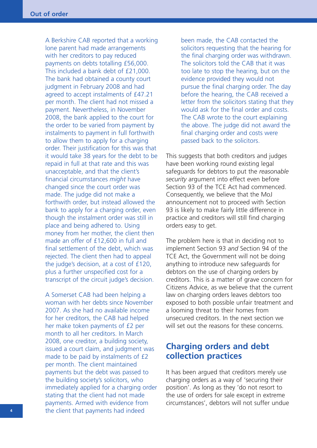A Berkshire CAB reported that a working lone parent had made arrangements with her creditors to pay reduced payments on debts totalling £56,000. This included a bank debt of £21,000. The bank had obtained a county court judgment in February 2008 and had agreed to accept instalments of £47.21 per month. The client had not missed a payment. Nevertheless, in November 2008, the bank applied to the court for the order to be varied from payment by instalments to payment in full forthwith to allow them to apply for a charging order. Their justification for this was that it would take 38 years for the debt to be repaid in full at that rate and this was unacceptable, and that the client's financial circumstances *might* have changed since the court order was made. The judge did not make a forthwith order, but instead allowed the bank to apply for a charging order, even though the instalment order was still in place and being adhered to. Using money from her mother, the client then made an offer of £12,600 in full and final settlement of the debt, which was rejected. The client then had to appeal the judge's decision, at a cost of £120, plus a further unspecified cost for a transcript of the circuit judge's decision.

A Somerset CAB had been helping a woman with her debts since November 2007. As she had no available income for her creditors, the CAB had helped her make token payments of £2 per month to all her creditors. In March 2008, one creditor, a building society, issued a court claim, and judgment was made to be paid by instalments of £2 per month. The client maintained payments but the debt was passed to the building society's solicitors, who immediately applied for a charging order stating that the client had not made payments. Armed with evidence from the client that payments had indeed

been made, the CAB contacted the solicitors requesting that the hearing for the final charging order was withdrawn. The solicitors told the CAB that it was too late to stop the hearing, but on the evidence provided they would not pursue the final charging order. The day before the hearing, the CAB received a letter from the solicitors stating that they would ask for the final order and costs. The CAB wrote to the court explaining the above. The judge did not award the final charging order and costs were passed back to the solicitors.

This suggests that both creditors and judges have been working round existing legal safeguards for debtors to put the *reasonable security* argument into effect even before Section 93 of the TCE Act had commenced. Consequently, we believe that the MoJ announcement not to proceed with Section 93 is likely to make fairly little difference in practice and creditors will still find charging orders easy to get.

The problem here is that in deciding not to implement Section 93 *and* Section 94 of the TCE Act, the Government will not be doing anything to introduce new safeguards for debtors on the use of charging orders by creditors. This is a matter of grave concern for Citizens Advice, as we believe that the current law on charging orders leaves debtors too exposed to both possible unfair treatment and a looming threat to their homes from unsecured creditors. In the next section we will set out the reasons for these concerns.

## **Charging orders and debt collection practices**

It has been argued that creditors merely use charging orders as a way of 'securing their position'. As long as they 'do not resort to the use of orders for sale except in extreme circumstances', debtors will not suffer undue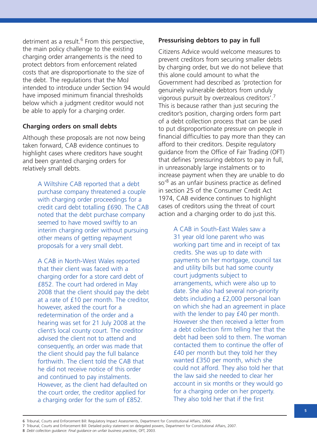detriment as a result.<sup>6</sup> From this perspective, the main policy challenge to the existing charging order arrangements is the need to protect debtors from enforcement related costs that are disproportionate to the size of the debt. The regulations that the MoJ intended to introduce under Section 94 would have imposed minimum financial thresholds below which a judgment creditor would not be able to apply for a charging order.

#### **Charging orders on small debts**

Although these proposals are not now being taken forward, CAB evidence continues to highlight cases where creditors have sought and been granted charging orders for relatively small debts.

> A Wiltshire CAB reported that a debt purchase company threatened a couple with charging order proceedings for a credit card debt totalling £690. The CAB noted that the debt purchase company seemed to have moved swiftly to an interim charging order without pursuing other means of getting repayment proposals for a very small debt.

> A CAB in North-West Wales reported that their client was faced with a charging order for a store card debt of £852. The court had ordered in May 2008 that the client should pay the debt at a rate of £10 per month. The creditor, however, asked the court for a redetermination of the order and a hearing was set for 21 July 2008 at the client's local county court. The creditor advised the client not to attend and consequently, an order was made that the client should pay the full balance forthwith. The client told the CAB that he did not receive notice of this order and continued to pay instalments. However, as the client had defaulted on the court order, the creditor applied for a charging order for the sum of £852.

#### **Pressurising debtors to pay in full**

Citizens Advice would welcome measures to prevent creditors from securing smaller debts by charging order, but we do not believe that this alone could amount to what the Government had described as 'protection for genuinely vulnerable debtors from unduly vigorous pursuit by overzealous creditors'.<sup>7</sup> This is because rather than just securing the creditor's position, charging orders form part of a debt collection process that can be used to put disproportionate pressure on people in financial difficulties to pay more than they can afford to their creditors. Despite regulatory guidance from the Office of Fair Trading (OFT) that defines 'pressuring debtors to pay in full, in unreasonably large instalments or to increase payment when they are unable to do so'<sup>8</sup> as an unfair business practice as defined in section 25 of the Consumer Credit Act 1974, CAB evidence continues to highlight cases of creditors using the threat of court action and a charging order to do just this.

> A CAB in South-East Wales saw a 31 year old lone parent who was working part time and in receipt of tax credits. She was up to date with payments on her mortgage, council tax and utility bills but had some county court judgments subject to arrangements, which were also up to date. She also had several non-priority debts including a £2,000 personal loan on which she had an agreement in place with the lender to pay £40 per month. However she then received a letter from a debt collection firm telling her that the debt had been sold to them. The woman contacted them to continue the offer of £40 per month but they told her they wanted £350 per month, which she could not afford. They also told her that the law said she needed to clear her account in six months or they would go for a charging order on her property. They also told her that if the first

7 Tribunal, Courts and Enforcement Bill: Detailed policy statement on delegated powers, Department for Constitutional Affairs, 2007.

<sup>6</sup> Tribunal, Courts and Enforcement Bill: Regulatory Impact Assessments, Department for Constitutional Affairs, 2006.

<sup>8</sup> *Debt collection guidance: Final guidance on unfair business practices*, OFT, 2003.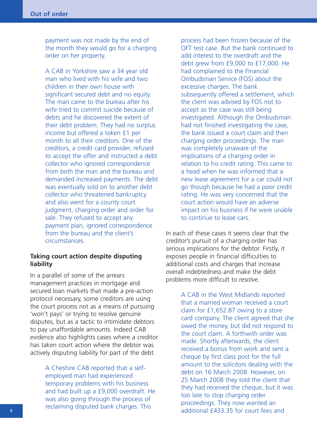payment was not made by the end of the month they would go for a charging order on her property.

A CAB in Yorkshire saw a 34 year old man who lived with his wife and two children in their own house with significant secured debt and no equity. The man came to the bureau after his wife tried to commit suicide because of debts and he discovered the extent of their debt problem. They had no surplus income but offered a token £1 per month to all their creditors. One of the creditors, a credit card provider, refused to accept the offer and instructed a debt collector who ignored correspondence from both the man and the bureau and demanded increased payments. The debt was eventually sold on to another debt collector who threatened bankruptcy and also went for a county court judgment, charging order and order for sale. They refused to accept any payment plan, ignored correspondence from the bureau and the client's circumstances.

#### **Taking court action despite disputing liability**

In a parallel of some of the arrears management practices in mortgage and secured loan markets that made a pre-action protocol necessary, some creditors are using the court process not as a means of pursuing 'won't pays' or trying to resolve genuine disputes, but as a tactic to intimidate debtors to pay unaffordable amounts. Indeed CAB evidence also highlights cases where a creditor has taken court action where the debtor was actively disputing liability for part of the debt.

> A Cheshire CAB reported that a selfemployed man had experienced temporary problems with his business and had built up a £9,000 overdraft. He was also going through the process of reclaiming disputed bank charges. This

process had been frozen because of the OFT test case. But the bank continued to add interest to the overdraft and the debt grew from £9,000 to £17,000. He had complained to the Financial Ombudsman Service (FOS) about the excessive charges. The bank subsequently offered a settlement, which the client was advised by FOS not to accept as the case was still being investigated. Although the Ombudsman had not finished investigating the case, the bank issued a court claim and then charging order proceedings. The man was completely unaware of the implications of a charging order in relation to his credit rating. This came to a head when he was informed that a new lease agreement for a car could not go though because he had a poor credit rating. He was very concerned that the court action would have an adverse impact on his business if he were unable to continue to lease cars.

In each of these cases it seems clear that the creditor's pursuit of a charging order has serious implications for the debtor. Firstly, it exposes people in financial difficulties to additional costs and charges that increase overall indebtedness and make the debt problems more difficult to resolve.

> A CAB in the West Midlands reported that a married woman received a court claim for £1,652.87 owing to a store card company. The client agreed that she owed the money, but did not respond to the court claim. A forthwith order was made. Shortly afterwards, the client received a bonus from work and sent a cheque by first class post for the full amount to the solicitors dealing with the debt on 16 March 2008. However, on 25 March 2008 they told the client that they had received the cheque, but it was too late to stop charging order proceedings. They now wanted an additional £433.35 for court fees and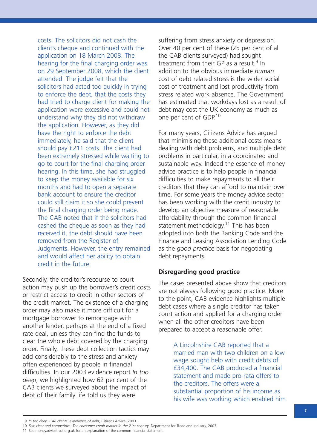costs. The solicitors did not cash the client's cheque and continued with the application on 18 March 2008. The hearing for the final charging order was on 29 September 2008, which the client attended. The judge felt that the solicitors had acted too quickly in trying to enforce the debt, that the costs they had tried to charge client for making the application were excessive and could not understand why they did not withdraw the application. However, as they did have the right to enforce the debt immediately, he said that the client should pay £211 costs. The client had been extremely stressed while waiting to go to court for the final charging order hearing. In this time, she had struggled to keep the money available for six months and had to open a separate bank account to ensure the creditor could still claim it so she could prevent the final charging order being made. The CAB noted that if the solicitors had cashed the cheque as soon as they had received it, the debt should have been removed from the Register of Judgments. However, the entry remained and would affect her ability to obtain credit in the future.

Secondly, the creditor's recourse to court action may push up the borrower's credit costs or restrict access to credit in other sectors of the credit market. The existence of a charging order may also make it more difficult for a mortgage borrower to remortgage with another lender, perhaps at the end of a fixed rate deal, unless they can find the funds to clear the whole debt covered by the charging order. Finally, these debt collection tactics may add considerably to the stress and anxiety often experienced by people in financial difficulties. In our 2003 evidence report *In too deep*, we highlighted how 62 per cent of the CAB clients we surveyed about the impact of debt of their family life told us they were

suffering from stress anxiety or depression. Over 40 per cent of these (25 per cent of all the CAB clients surveyed) had sought treatment from their GP as a result.<sup>9</sup> In addition to the obvious immediate *human* cost of debt related stress is the wider social cost of treatment and lost productivity from stress related work absence. The Government has estimated that workdays lost as a result of debt may cost the UK economy as much as one per cent of GDP.<sup>10</sup>

For many years, Citizens Advice has argued that minimising these additional costs means dealing with debt problems, and multiple debt problems in particular, in a coordinated and sustainable way. Indeed the essence of money advice practice is to help people in financial difficulties to make repayments to all their creditors that they can afford to maintain over time. For some years the money advice sector has been working with the credit industry to develop an objective measure of reasonable affordability through the common financial statement methodology.<sup>11</sup> This has been adopted into both the Banking Code and the Finance and Leasing Association Lending Code as the *good practice* basis for negotiating debt repayments.

### **Disregarding good practice**

The cases presented above show that creditors are not always following good practice. More to the point, CAB evidence highlights multiple debt cases where a single creditor has taken court action and applied for a charging order when all the other creditors have been prepared to accept a reasonable offer.

> A Lincolnshire CAB reported that a married man with two children on a low wage sought help with credit debts of £34,400. The CAB produced a financial statement and made pro-rata offers to the creditors. The offers were a substantial proportion of his income as his wife was working which enabled him

<sup>9</sup> *In too deep: CAB clients' experience of debt*, Citizens Advice, 2003.

<sup>10</sup> *Fair, clear and competitive: The consumer credit market in the 21st century*, Department for Trade and Industry, 2003.

<sup>11</sup> See moneyadvicetrust.org.uk for an explanation of the common financial statement.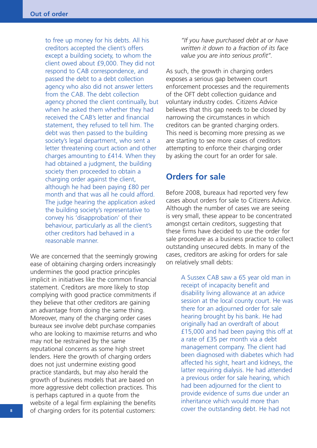to free up money for his debts. All his creditors accepted the client's offers except a building society, to whom the client owed about £9,000. They did not respond to CAB correspondence, and passed the debt to a debt collection agency who also did not answer letters from the CAB. The debt collection agency phoned the client continually, but when he asked them whether they had received the CAB's letter and financial statement, they refused to tell him. The debt was then passed to the building society's legal department, who sent a letter threatening court action and other charges amounting to £414. When they had obtained a judgment, the building society then proceeded to obtain a charging order against the client, although he had been paying £80 per month and that was all he could afford. The judge hearing the application asked the building society's representative to convey his 'disapprobation' of their behaviour, particularly as all the client's other creditors had behaved in a reasonable manner.

We are concerned that the seemingly growing ease of obtaining charging orders increasingly undermines the good practice principles implicit in initiatives like the common financial statement. Creditors are more likely to stop complying with good practice commitments if they believe that other creditors are gaining an advantage from doing the same thing. Moreover, many of the charging order cases bureaux see involve debt purchase companies who are looking to maximise returns and who may not be restrained by the same reputational concerns as some high street lenders. Here the growth of charging orders does not just undermine existing good practice standards, but may also herald the growth of business models that are based on more aggressive debt collection practices. This is perhaps captured in a quote from the website of a legal firm explaining the benefits of charging orders for its potential customers:

*"If you have purchased debt at or have written it down to a fraction of its face value you are into serious profit".*

As such, the growth in charging orders exposes a serious gap between court enforcement processes and the requirements of the OFT debt collection guidance and voluntary industry codes. Citizens Advice believes that this gap needs to be closed by narrowing the circumstances in which creditors can be granted charging orders. This need is becoming more pressing as we are starting to see more cases of creditors attempting to enforce their charging order by asking the court for an order for sale.

## **Orders for sale**

Before 2008, bureaux had reported very few cases about orders for sale to Citizens Advice. Although the number of cases we are seeing is very small, these appear to be concentrated amongst certain creditors, suggesting that these firms have decided to use the order for sale procedure as a business practice to collect outstanding unsecured debts. In many of the cases, creditors are asking for orders for sale on relatively small debts:

> A Sussex CAB saw a 65 year old man in receipt of incapacity benefit and disability living allowance at an advice session at the local county court. He was there for an adjourned order for sale hearing brought by his bank. He had originally had an overdraft of about £15,000 and had been paying this off at a rate of £35 per month via a debt management company. The client had been diagnosed with diabetes which had affected his sight, heart and kidneys, the latter requiring dialysis. He had attended a previous order for sale hearing, which had been adjourned for the client to provide evidence of sums due under an inheritance which would more than cover the outstanding debt. He had not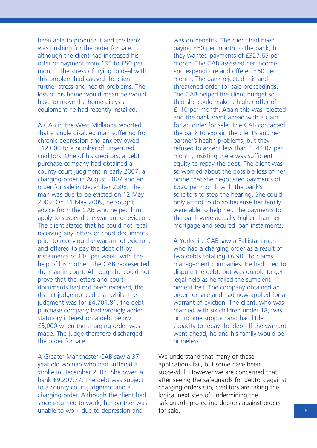been able to produce it and the bank was pushing for the order for sale although the client had increased his offer of payment from £35 to £50 per month. The stress of trying to deal with this problem had caused the client further stress and health problems. The loss of his home would mean he would have to move the home dialysis equipment he had recently installed.

A CAB in the West Midlands reported that a single disabled man suffering from chronic depression and anxiety owed £12,000 to a number of unsecured creditors. One of his creditors, a debt purchase company had obtained a county court judgment in early 2007, a charging order in August 2007 and an order for sale in December 2008. The man was due to be evicted on 12 May 2009. On 11 May 2009, he sought advice from the CAB who helped him apply to suspend the warrant of eviction. The client stated that he could not recall receiving any letters or court documents prior to receiving the warrant of eviction, and offered to pay the debt off by instalments of £10 per week, with the help of his mother. The CAB represented the man in court. Although he could not prove that the letters and court documents had not been received, the district judge noticed that whilst the judgment was for £4,701.81, the debt purchase company had wrongly added statutory interest on a debt below £5,000 when the charging order was made. The judge therefore discharged the order for sale.

A Greater Manchester CAB saw a 37 year old woman who had suffered a stroke in December 2007. She owed a bank £9,207.77. The debt was subject to a county court judgment and a charging order. Although the client had since returned to work, her partner was unable to work due to depression and

was on benefits. The client had been paying £50 per month to the bank, but they wanted payments of £327.65 per month. The CAB assessed her income and expenditure and offered £60 per month. The bank rejected this and threatened order for sale proceedings. The CAB helped the client budget so that she could make a higher offer of £110 per month. Again this was rejected and the bank went ahead with a claim for an order for sale. The CAB contacted the bank to explain the client's and her partner's health problems, but they refused to accept less than £344.07 per month, insisting there was sufficient equity to repay the debt. The client was so worried about the possible loss of her home that she negotiated payments of £320 per month with the bank's solicitors to stop the hearing. She could only afford to do so because her family were able to help her. The payments to the bank were actually higher than her mortgage and secured loan instalments.

A Yorkshire CAB saw a Pakistani man who had a charging order as a result of two debts totalling £6,900 to claims management companies. He had tried to dispute the debt, but was unable to get legal help as he failed the sufficient benefit test. The company obtained an order for sale and had now applied for a warrant of eviction. The client, who was married with six children under 18, was on income support and had little capacity to repay the debt. If the warrant went ahead, he and his family would be homeless.

We understand that many of these applications fail, but some have been successful. However we are concerned that after seeing the safeguards for debtors against charging orders slip, creditors are taking the logical next step of undermining the safeguards protecting debtors against orders for sale.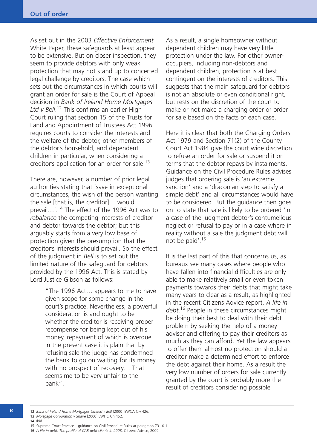As set out in the 2003 *Effective Enforcement* White Paper, these safeguards at least appear to be extensive. But on closer inspection, they seem to provide debtors with only weak protection that may not stand up to concerted legal challenge by creditors. The case which sets out the circumstances in which courts will grant an order for sale is the Court of Appeal decision in *Bank of Ireland Home Mortgages Ltd v Bell*. <sup>12</sup> This confirms an earlier High Court ruling that section 15 of the Trusts for Land and Appointment of Trustees Act 1996 requires courts to consider the interests and the welfare of the debtor, other members of the debtor's household, and dependent children in particular, when considering a creditor's application for an order for sale.<sup>13</sup>

There are, however, a number of prior legal authorities stating that 'save in exceptional circumstances, the wish of the person wanting the sale [that is, the creditor]… would prevail...'.<sup>14</sup> The effect of the 1996 Act was to *rebalance* the competing interests of creditor and debtor towards the debtor; but this arguably starts from a very low base of protection given the presumption that the creditor's interests should prevail. So the effect of the judgment in *Bell* is to set out the limited nature of the safeguard for debtors provided by the 1996 Act. This is stated by Lord Justice Gibson as follows:

> "The 1996 Act… appears to me to have given scope for some change in the court's practice. Nevertheless, a powerful consideration is and ought to be whether the creditor is receiving proper recompense for being kept out of his money, repayment of which is overdue… In the present case it is plain that by refusing sale the judge has condemned the bank to go on waiting for its money with no prospect of recovery… That seems me to be very unfair to the bank".

As a result, a single homeowner without dependent children may have very little protection under the law. For other owneroccupiers, including non-debtors and dependent children, protection is at best contingent on the interests of creditors. This suggests that the main safeguard for debtors is not an absolute or even conditional right, but rests on the discretion of the court to make or not make a charging order or order for sale based on the facts of each case.

Here it is clear that both the Charging Orders Act 1979 and Section 71(2) of the County Court Act 1984 give the court wide discretion to refuse an order for sale or suspend it on terms that the debtor repays by instalments. Guidance on the Civil Procedure Rules advises judges that ordering sale is 'an extreme sanction' and a 'draconian step to satisfy a simple debt' and all circumstances would have to be considered. But the guidance then goes on to state that sale is likely to be ordered 'in a case of the judgment debtor's contumelious neglect or refusal to pay or in a case where in reality without a sale the judgment debt will not be paid'. 15

It is the last part of this that concerns us, as bureaux see many cases where people who have fallen into financial difficulties are only able to make relatively small or even token payments towards their debts that might take many years to clear as a result, as highlighted in the recent Citizens Advice report, *A life in debt*. <sup>16</sup> People in these circumstances might be doing their best to deal with their debt problem by seeking the help of a money adviser and offering to pay their creditors as much as they can afford. Yet the law appears to offer them almost no protection should a creditor make a determined effort to enforce the debt against their home. As a result the very low number of orders for sale currently granted by the court is probably more the result of creditors considering possible

**<sup>10</sup>**

<sup>12</sup> *Bank of Ireland Home Mortgages Limited v Bell* [2000] EWCA Civ 426. 13 *Mortgage Corporation v Shaire* [2000] EWHC Ch 452.

<sup>14</sup> Ibid.

<sup>15</sup> Supreme Court Practice – guidance on Civil Procedure Rules at paragraph 73.10.1.

<sup>16</sup> *A life in debt: The profile of CAB debt clients in 2008*, Citizens Advice, 2009.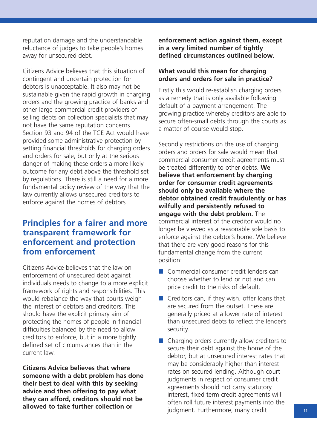reputation damage and the understandable reluctance of judges to take people's homes away for unsecured debt.

Citizens Advice believes that this situation of contingent and uncertain protection for debtors is unacceptable. It also may not be sustainable given the rapid growth in charging orders and the growing practice of banks and other large commercial credit providers of selling debts on collection specialists that may not have the same reputation concerns. Section 93 and 94 of the TCE Act would have provided some administrative protection by setting financial thresholds for charging orders and orders for sale, but only at the serious danger of making these orders a more likely outcome for any debt above the threshold set by regulations. There is still a need for a more fundamental policy review of the way that the law currently allows unsecured creditors to enforce against the homes of debtors.

## **Principles for a fairer and more transparent framework for enforcement and protection from enforcement**

Citizens Advice believes that the law on enforcement of unsecured debt against individuals needs to change to a more explicit framework of rights and responsibilities. This would rebalance the way that courts weigh the interest of debtors and creditors. This should have the explicit primary aim of protecting the homes of people in financial difficulties balanced by the need to allow creditors to enforce, but in a more tightly defined set of circumstances than in the current law.

**Citizens Advice believes that where someone with a debt problem has done their best to deal with this by seeking advice and then offering to pay what they can afford, creditors should not be allowed to take further collection or**

**enforcement action against them, except in a very limited number of tightly defined circumstances outlined below.**

### **What would this mean for charging orders and orders for sale in practice?**

Firstly this would re-establish charging orders as a remedy that is only available following default of a payment arrangement. The growing practice whereby creditors are able to secure often-small debts through the courts as a matter of course would stop.

Secondly restrictions on the use of charging orders and orders for sale would mean that commercial consumer credit agreements must be treated differently to other debts. **We believe that enforcement by charging order for consumer credit agreements should only be available where the debtor obtained credit fraudulently or has wilfully and persistently refused to engage with the debt problem.** The commercial interest of the creditor would no longer be viewed as a reasonable sole basis to enforce against the debtor's home. We believe that there are very good reasons for this fundamental change from the current position:

- Commercial consumer credit lenders can choose whether to lend or not and can price credit to the risks of default.
- Creditors can, if they wish, offer loans that are secured from the outset. These are generally priced at a lower rate of interest than unsecured debts to reflect the lender's security.
- Charging orders currently allow creditors to secure their debt against the home of the debtor, but at unsecured interest rates that may be considerably higher than interest rates on secured lending. Although court judgments in respect of consumer credit agreements should not carry statutory interest, fixed term credit agreements will often roll future interest payments into the judgment. Furthermore, many credit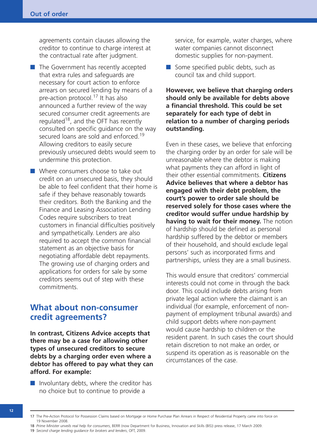agreements contain clauses allowing the creditor to continue to charge interest at the contractual rate after judgment.

- The Government has recently accepted that extra rules and safeguards are necessary for court action to enforce arrears on secured lending by means of a pre-action protocol.<sup>17</sup> It has also announced a further review of the way secured consumer credit agreements are regulated<sup>18</sup>, and the OFT has recently consulted on specific guidance on the way secured loans are sold and enforced.<sup>19</sup> Allowing creditors to easily secure previously unsecured debts would seem to undermine this protection.
- Where consumers choose to take out credit on an unsecured basis, they should be able to feel confident that their home is safe if they behave reasonably towards their creditors. Both the Banking and the Finance and Leasing Association Lending Codes require subscribers to treat customers in financial difficulties positively and sympathetically. Lenders are also required to accept the common financial statement as an objective basis for negotiating affordable debt repayments. The growing use of charging orders and applications for orders for sale by some creditors seems out of step with these commitments.

## **What about non-consumer credit agreements?**

**In contrast, Citizens Advice accepts that there may be a case for allowing other types of unsecured creditors to secure debts by a charging order even where a debtor has offered to pay what they can afford. For example:**

 $\blacksquare$  Involuntary debts, where the creditor has no choice but to continue to provide a

service, for example, water charges, where water companies cannot disconnect domestic supplies for non-payment.

■ Some specified public debts, such as council tax and child support.

**However, we believe that charging orders should only be available for debts above a financial threshold. This could be set separately for each type of debt in relation to a number of charging periods outstanding.**

Even in these cases, we believe that enforcing the charging order by an order for sale will be unreasonable where the debtor is making what payments they can afford in light of their other essential commitments. **Citizens Advice believes that where a debtor has engaged with their debt problem, the court's power to order sale should be reserved solely for those cases where the creditor would suffer undue hardship by having to wait for their money.** The notion of hardship should be defined as personal hardship suffered by the debtor or members of their household, and should exclude legal persons' such as incorporated firms and partnerships, unless they are a small business.

This would ensure that creditors' commercial interests could not come in through the back door. This could include debts arising from private legal action where the claimant is an individual (for example, enforcement of nonpayment of employment tribunal awards) and child support debts where non-payment would cause hardship to children or the resident parent. In such cases the court should retain discretion to not make an order, or suspend its operation as is reasonable on the circumstances of the case.

**<sup>12</sup>**

<sup>17</sup> The Pre-Action Protocol for Possession Claims based on Mortgage or Home Purchase Plan Arrears in Respect of Residential Property came into force on 19 November 2008.

<sup>18</sup> *Prime Minister unveils real help for consumers*, BERR (now Department for Business, Innovation and Skills (BIS)) press release, 17 March 2009. 19 *Second charge lending guidance for brokers and lenders*, OFT, 2009.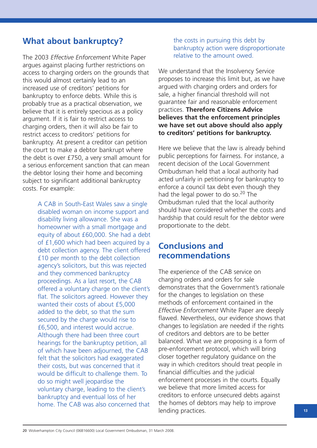## **What about bankruptcy?**

The 2003 *Effective Enforcement* White Paper argues against placing further restrictions on access to charging orders on the grounds that this would almost certainly lead to an increased use of creditors' petitions for bankruptcy to enforce debts. While this is probably true as a practical observation, we believe that it is entirely specious as a policy argument. If it is fair to restrict access to charging orders, then it will also be fair to restrict access to creditors' petitions for bankruptcy. At present a creditor can petition the court to make a debtor bankrupt where the debt is over £750, a very small amount for a serious enforcement sanction that can mean the debtor losing their home and becoming subject to significant additional bankruptcy costs. For example:

> A CAB in South-East Wales saw a single disabled woman on income support and disability living allowance. She was a homeowner with a small mortgage and equity of about £60,000. She had a debt of £1,600 which had been acquired by a debt collection agency. The client offered £10 per month to the debt collection agency's solicitors, but this was rejected and they commenced bankruptcy proceedings. As a last resort, the CAB offered a voluntary charge on the client's flat. The solicitors agreed. However they wanted their costs of about £5,000 added to the debt, so that the sum secured by the charge would rise to £6,500, and interest would accrue. Although there had been three court hearings for the bankruptcy petition, all of which have been adjourned, the CAB felt that the solicitors had exaggerated their costs, but was concerned that it would be difficult to challenge them. To do so might well jeopardise the voluntary charge, leading to the client's bankruptcy and eventual loss of her home. The CAB was also concerned that

the costs in pursuing this debt by bankruptcy action were disproportionate relative to the amount owed.

We understand that the Insolvency Service proposes to increase this limit but, as we have argued with charging orders and orders for sale, a higher financial threshold will not guarantee fair and reasonable enforcement practices. **Therefore Citizens Advice believes that the enforcement principles we have set out above should also apply to creditors' petitions for bankruptcy.**

Here we believe that the law is already behind public perceptions for fairness. For instance, a recent decision of the Local Government Ombudsman held that a local authority had acted unfairly in petitioning for bankruptcy to enforce a council tax debt even though they had the legal power to do so.<sup>20</sup> The Ombudsman ruled that the local authority should have considered whether the costs and hardship that could result for the debtor were proportionate to the debt.

## **Conclusions and recommendations**

The experience of the CAB service on charging orders and orders for sale demonstrates that the Government's rationale for the changes to legislation on these methods of enforcement contained in the *Effective Enforcement* White Paper are deeply flawed. Nevertheless, our evidence shows that changes to legislation are needed if the rights of creditors and debtors are to be better balanced. What we are proposing is a form of pre-enforcement protocol, which will bring closer together regulatory guidance on the way in which creditors should treat people in financial difficulties and the judicial enforcement processes in the courts. Equally we believe that more limited access for creditors to enforce unsecured debts against the homes of debtors may help to improve lending practices.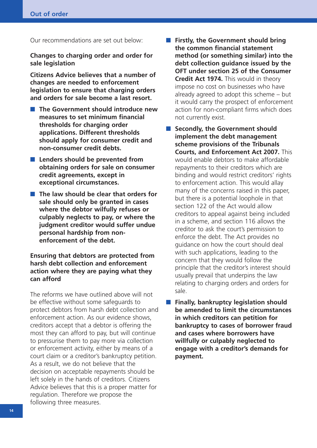Our recommendations are set out below:

**Changes to charging order and order for sale legislation**

**Citizens Advice believes that a number of changes are needed to enforcement legislation to ensure that charging orders and orders for sale become a last resort.**

- **The Government should introduce new measures to set minimum financial thresholds for charging order applications. Different thresholds should apply for consumer credit and non-consumer credit debts.**
- **Lenders should be prevented from obtaining orders for sale on consumer credit agreements, except in exceptional circumstances.**
- **The law should be clear that orders for sale should only be granted in cases where the debtor wilfully refuses or culpably neglects to pay, or where the judgment creditor would suffer undue personal hardship from nonenforcement of the debt.**

### **Ensuring that debtors are protected from harsh debt collection and enforcement action where they are paying what they can afford**

The reforms we have outlined above will not be effective without some safeguards to protect debtors from harsh debt collection and enforcement action. As our evidence shows, creditors accept that a debtor is offering the most they can afford to pay, but will continue to pressurise them to pay more via collection or enforcement activity, either by means of a court claim or a creditor's bankruptcy petition. As a result, we do not believe that the decision on acceptable repayments should be left solely in the hands of creditors. Citizens Advice believes that this is a proper matter for regulation. Therefore we propose the following three measures.

- **Firstly, the Government should bring the common financial statement method (or something similar) into the debt collection guidance issued by the OFT under section 25 of the Consumer Credit Act 1974.** This would in theory impose no cost on businesses who have already agreed to adopt this scheme – but it would carry the prospect of enforcement action for non-compliant firms which does not currently exist.
- **Secondly, the Government should implement the debt management scheme provisions of the Tribunals Courts, and Enforcement Act 2007.** This would enable debtors to make affordable repayments to their creditors which are binding and would restrict creditors' rights to enforcement action. This would allay many of the concerns raised in this paper, but there is a potential loophole in that section 122 of the Act would allow creditors to appeal against being included in a scheme, and section 116 allows the creditor to ask the court's permission to enforce the debt. The Act provides no guidance on how the court should deal with such applications, leading to the concern that they would follow the principle that the creditor's interest should usually prevail that underpins the law relating to charging orders and orders for sale.
- **Finally, bankruptcy legislation should be amended to limit the circumstances in which creditors can petition for bankruptcy to cases of borrower fraud and cases where borrowers have willfully or culpably neglected to engage with a creditor's demands for payment.**